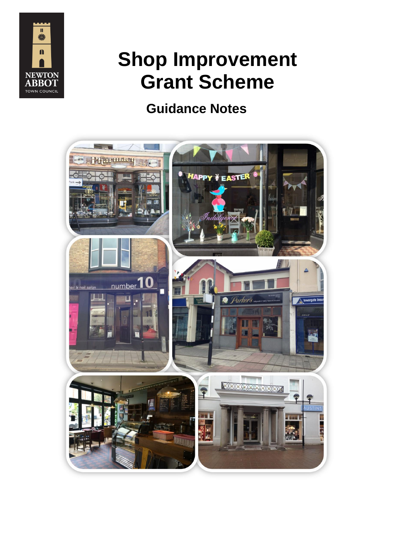

# **Shop Improvement Grant Scheme**

# **Guidance Notes**

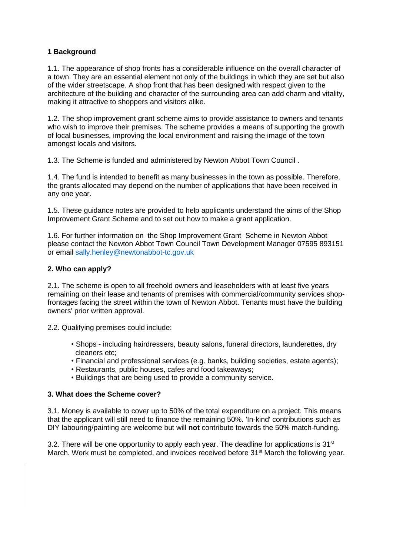#### **1 Background**

1.1. The appearance of shop fronts has a considerable influence on the overall character of a town. They are an essential element not only of the buildings in which they are set but also of the wider streetscape. A shop front that has been designed with respect given to the architecture of the building and character of the surrounding area can add charm and vitality, making it attractive to shoppers and visitors alike.

1.2. The shop improvement grant scheme aims to provide assistance to owners and tenants who wish to improve their premises. The scheme provides a means of supporting the growth of local businesses, improving the local environment and raising the image of the town amongst locals and visitors.

1.3. The Scheme is funded and administered by Newton Abbot Town Council .

1.4. The fund is intended to benefit as many businesses in the town as possible. Therefore, the grants allocated may depend on the number of applications that have been received in any one year.

1.5. These guidance notes are provided to help applicants understand the aims of the Shop Improvement Grant Scheme and to set out how to make a grant application.

1.6. For further information on the Shop Improvement Grant Scheme in Newton Abbot please contact the Newton Abbot Town Council Town Development Manager 07595 893151 or email [sally.henley@newtonabbot-tc.gov.uk](mailto:sally.henley@newtonabbot-tc.gov.uk)

### **2. Who can apply?**

2.1. The scheme is open to all freehold owners and leaseholders with at least five years remaining on their lease and tenants of premises with commercial/community services shopfrontages facing the street within the town of Newton Abbot. Tenants must have the building owners' prior written approval.

2.2. Qualifying premises could include:

- Shops including hairdressers, beauty salons, funeral directors, launderettes, dry cleaners etc;
- Financial and professional services (e.g. banks, building societies, estate agents);
- Restaurants, public houses, cafes and food takeaways;
- Buildings that are being used to provide a community service.

#### **3. What does the Scheme cover?**

3.1. Money is available to cover up to 50% of the total expenditure on a project. This means that the applicant will still need to finance the remaining 50%. 'In-kind' contributions such as DIY labouring/painting are welcome but will **not** contribute towards the 50% match-funding.

3.2. There will be one opportunity to apply each year. The deadline for applications is  $31<sup>st</sup>$ March. Work must be completed, and invoices received before 31<sup>st</sup> March the following year.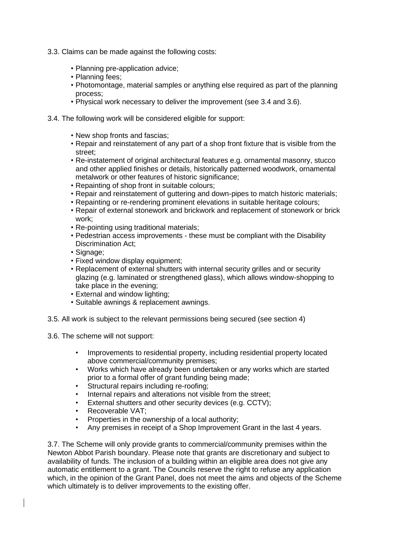- 3.3. Claims can be made against the following costs:
	- Planning pre-application advice;
	- Planning fees;
	- Photomontage, material samples or anything else required as part of the planning process;
	- Physical work necessary to deliver the improvement (see 3.4 and 3.6).
- 3.4. The following work will be considered eligible for support:
	- New shop fronts and fascias;
	- Repair and reinstatement of any part of a shop front fixture that is visible from the street;
	- Re-instatement of original architectural features e.g. ornamental masonry, stucco and other applied finishes or details, historically patterned woodwork, ornamental metalwork or other features of historic significance;
	- Repainting of shop front in suitable colours;
	- Repair and reinstatement of guttering and down-pipes to match historic materials;
	- Repainting or re-rendering prominent elevations in suitable heritage colours;
	- Repair of external stonework and brickwork and replacement of stonework or brick work;
	- Re-pointing using traditional materials;
	- Pedestrian access improvements these must be compliant with the Disability Discrimination Act;
	- Signage;
	- Fixed window display equipment;
	- Replacement of external shutters with internal security grilles and or security glazing (e.g. laminated or strengthened glass), which allows window-shopping to take place in the evening;
	- External and window lighting;
	- Suitable awnings & replacement awnings.
- 3.5. All work is subject to the relevant permissions being secured (see section 4)
- 3.6. The scheme will not support:
	- Improvements to residential property, including residential property located above commercial/community premises;
	- Works which have already been undertaken or any works which are started prior to a formal offer of grant funding being made;
	- Structural repairs including re-roofing;
	- Internal repairs and alterations not visible from the street:
	- External shutters and other security devices (e.g. CCTV);
	- Recoverable VAT:
	- Properties in the ownership of a local authority;
	- Any premises in receipt of a Shop Improvement Grant in the last 4 years.

3.7. The Scheme will only provide grants to commercial/community premises within the Newton Abbot Parish boundary. Please note that grants are discretionary and subject to availability of funds. The inclusion of a building within an eligible area does not give any automatic entitlement to a grant. The Councils reserve the right to refuse any application which, in the opinion of the Grant Panel, does not meet the aims and objects of the Scheme which ultimately is to deliver improvements to the existing offer.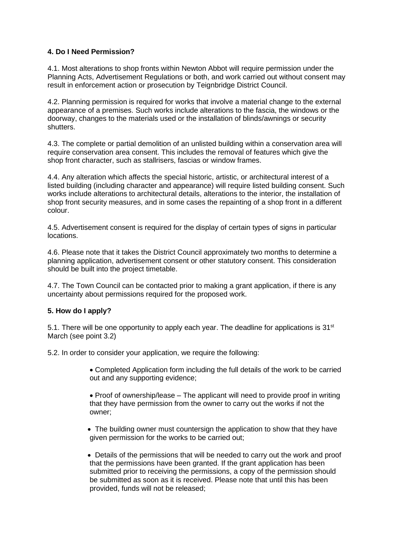#### **4. Do I Need Permission?**

4.1. Most alterations to shop fronts within Newton Abbot will require permission under the Planning Acts, Advertisement Regulations or both, and work carried out without consent may result in enforcement action or prosecution by Teignbridge District Council.

4.2. Planning permission is required for works that involve a material change to the external appearance of a premises. Such works include alterations to the fascia, the windows or the doorway, changes to the materials used or the installation of blinds/awnings or security shutters.

4.3. The complete or partial demolition of an unlisted building within a conservation area will require conservation area consent. This includes the removal of features which give the shop front character, such as stallrisers, fascias or window frames.

4.4. Any alteration which affects the special historic, artistic, or architectural interest of a listed building (including character and appearance) will require listed building consent. Such works include alterations to architectural details, alterations to the interior, the installation of shop front security measures, and in some cases the repainting of a shop front in a different colour.

4.5. Advertisement consent is required for the display of certain types of signs in particular locations.

4.6. Please note that it takes the District Council approximately two months to determine a planning application, advertisement consent or other statutory consent. This consideration should be built into the project timetable.

4.7. The Town Council can be contacted prior to making a grant application, if there is any uncertainty about permissions required for the proposed work.

#### **5. How do I apply?**

5.1. There will be one opportunity to apply each year. The deadline for applications is  $31<sup>st</sup>$ March (see point 3.2)

5.2. In order to consider your application, we require the following:

• Completed Application form including the full details of the work to be carried out and any supporting evidence;

• Proof of ownership/lease – The applicant will need to provide proof in writing that they have permission from the owner to carry out the works if not the owner;

• The building owner must countersign the application to show that they have given permission for the works to be carried out;

• Details of the permissions that will be needed to carry out the work and proof that the permissions have been granted. If the grant application has been submitted prior to receiving the permissions, a copy of the permission should be submitted as soon as it is received. Please note that until this has been provided, funds will not be released;